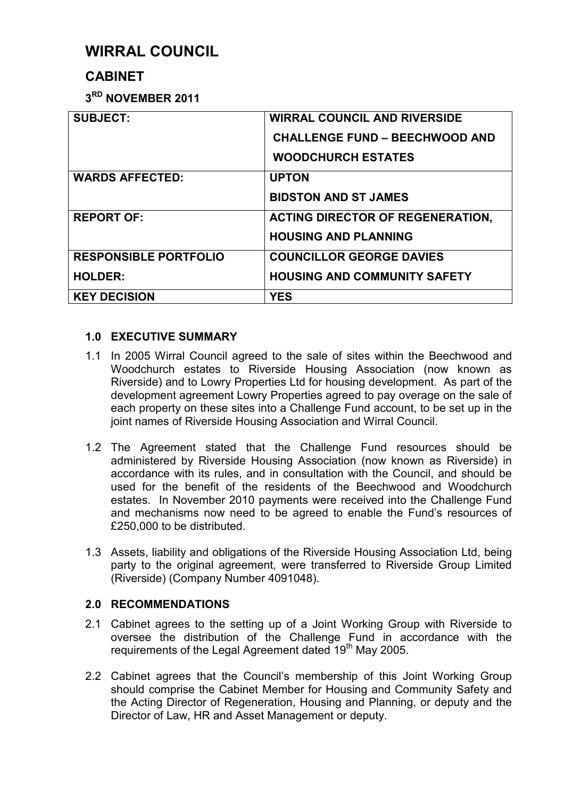# **WIRRAL COUNCIL**

## **CABINET**

**3 RD NOVEMBER 2011** 

| <b>SUBJECT:</b>              | <b>WIRRAL COUNCIL AND RIVERSIDE</b><br><b>CHALLENGE FUND - BEECHWOOD AND</b><br><b>WOODCHURCH ESTATES</b> |
|------------------------------|-----------------------------------------------------------------------------------------------------------|
| <b>WARDS AFFECTED:</b>       | <b>UPTON</b><br><b>BIDSTON AND ST JAMES</b>                                                               |
| <b>REPORT OF:</b>            | <b>ACTING DIRECTOR OF REGENERATION,</b><br><b>HOUSING AND PLANNING</b>                                    |
| <b>RESPONSIBLE PORTFOLIO</b> | <b>COUNCILLOR GEORGE DAVIES</b>                                                                           |
| <b>HOLDER:</b>               | <b>HOUSING AND COMMUNITY SAFETY</b>                                                                       |
| <b>KEY DECISION</b>          | <b>YES</b>                                                                                                |

## **1.0 EXECUTIVE SUMMARY**

- 1.1 In 2005 Wirral Council agreed to the sale of sites within the Beechwood and Woodchurch estates to Riverside Housing Association (now known as Riverside) and to Lowry Properties Ltd for housing development. As part of the development agreement Lowry Properties agreed to pay overage on the sale of each property on these sites into a Challenge Fund account, to be set up in the joint names of Riverside Housing Association and Wirral Council.
- 1.2 The Agreement stated that the Challenge Fund resources should be administered by Riverside Housing Association (now known as Riverside) in accordance with its rules, and in consultation with the Council, and should be used for the benefit of the residents of the Beechwood and Woodchurch estates. In November 2010 payments were received into the Challenge Fund and mechanisms now need to be agreed to enable the Fund's resources of £250,000 to be distributed.
- 1.3 Assets, liability and obligations of the Riverside Housing Association Ltd, being party to the original agreement, were transferred to Riverside Group Limited (Riverside) (Company Number 4091048).

## **2.0 RECOMMENDATIONS**

- 2.1 Cabinet agrees to the setting up of a Joint Working Group with Riverside to oversee the distribution of the Challenge Fund in accordance with the requirements of the Legal Agreement dated 19<sup>th</sup> May 2005.
- 2.2 Cabinet agrees that the Council's membership of this Joint Working Group should comprise the Cabinet Member for Housing and Community Safety and the Acting Director of Regeneration, Housing and Planning, or deputy and the Director of Law, HR and Asset Management or deputy.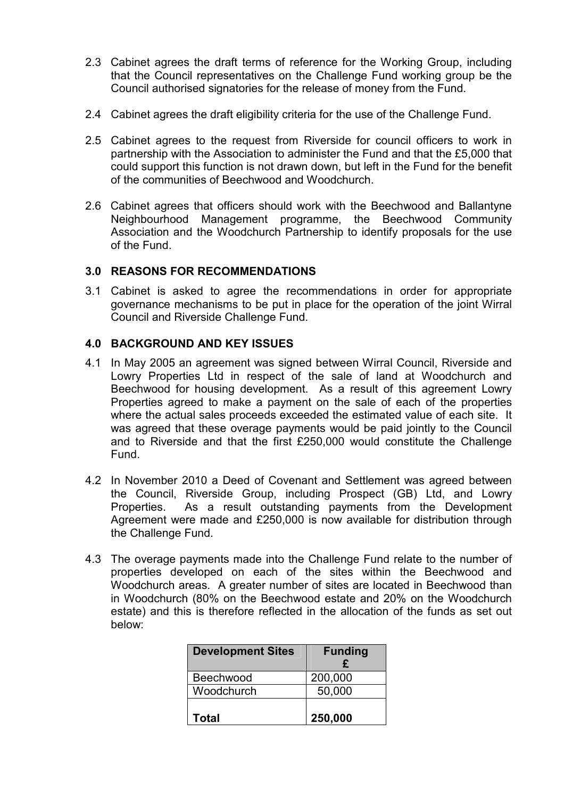- 2.3 Cabinet agrees the draft terms of reference for the Working Group, including that the Council representatives on the Challenge Fund working group be the Council authorised signatories for the release of money from the Fund.
- 2.4 Cabinet agrees the draft eligibility criteria for the use of the Challenge Fund.
- 2.5 Cabinet agrees to the request from Riverside for council officers to work in partnership with the Association to administer the Fund and that the £5,000 that could support this function is not drawn down, but left in the Fund for the benefit of the communities of Beechwood and Woodchurch.
- 2.6 Cabinet agrees that officers should work with the Beechwood and Ballantyne Neighbourhood Management programme, the Beechwood Community Association and the Woodchurch Partnership to identify proposals for the use of the Fund.

#### **3.0 REASONS FOR RECOMMENDATIONS**

3.1 Cabinet is asked to agree the recommendations in order for appropriate governance mechanisms to be put in place for the operation of the joint Wirral Council and Riverside Challenge Fund.

## **4.0 BACKGROUND AND KEY ISSUES**

- 4.1 In May 2005 an agreement was signed between Wirral Council, Riverside and Lowry Properties Ltd in respect of the sale of land at Woodchurch and Beechwood for housing development. As a result of this agreement Lowry Properties agreed to make a payment on the sale of each of the properties where the actual sales proceeds exceeded the estimated value of each site. It was agreed that these overage payments would be paid jointly to the Council and to Riverside and that the first £250,000 would constitute the Challenge Fund.
- 4.2 In November 2010 a Deed of Covenant and Settlement was agreed between the Council, Riverside Group, including Prospect (GB) Ltd, and Lowry Properties. As a result outstanding payments from the Development Agreement were made and £250,000 is now available for distribution through the Challenge Fund.
- 4.3 The overage payments made into the Challenge Fund relate to the number of properties developed on each of the sites within the Beechwood and Woodchurch areas. A greater number of sites are located in Beechwood than in Woodchurch (80% on the Beechwood estate and 20% on the Woodchurch estate) and this is therefore reflected in the allocation of the funds as set out below:

| <b>Development Sites</b> | <b>Funding</b><br>£ |
|--------------------------|---------------------|
| Beechwood                | 200,000             |
| Woodchurch               | 50,000              |
| Total                    | 250,000             |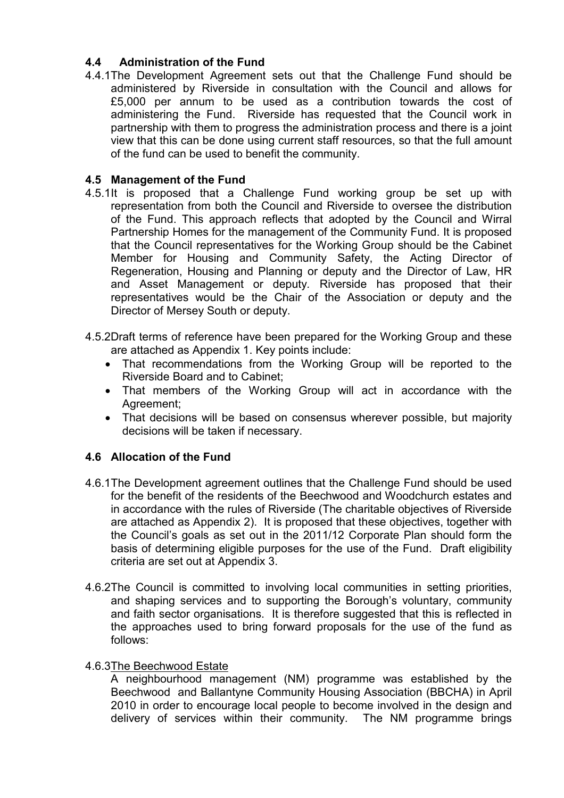## **4.4 Administration of the Fund**

4.4.1The Development Agreement sets out that the Challenge Fund should be administered by Riverside in consultation with the Council and allows for £5,000 per annum to be used as a contribution towards the cost of administering the Fund. Riverside has requested that the Council work in partnership with them to progress the administration process and there is a joint view that this can be done using current staff resources, so that the full amount of the fund can be used to benefit the community.

## **4.5 Management of the Fund**

- 4.5.1It is proposed that a Challenge Fund working group be set up with representation from both the Council and Riverside to oversee the distribution of the Fund. This approach reflects that adopted by the Council and Wirral Partnership Homes for the management of the Community Fund. It is proposed that the Council representatives for the Working Group should be the Cabinet Member for Housing and Community Safety, the Acting Director of Regeneration, Housing and Planning or deputy and the Director of Law, HR and Asset Management or deputy*.* Riverside has proposed that their representatives would be the Chair of the Association or deputy and the Director of Mersey South or deputy.
- 4.5.2Draft terms of reference have been prepared for the Working Group and these are attached as Appendix 1. Key points include:
	- That recommendations from the Working Group will be reported to the Riverside Board and to Cabinet;
	- That members of the Working Group will act in accordance with the Agreement;
	- That decisions will be based on consensus wherever possible, but majority decisions will be taken if necessary.

## **4.6 Allocation of the Fund**

- 4.6.1 The Development agreement outlines that the Challenge Fund should be used for the benefit of the residents of the Beechwood and Woodchurch estates and in accordance with the rules of Riverside (The charitable objectives of Riverside are attached as Appendix 2). It is proposed that these objectives, together with the Council's goals as set out in the 2011/12 Corporate Plan should form the basis of determining eligible purposes for the use of the Fund. Draft eligibility criteria are set out at Appendix 3.
- 4.6.2The Council is committed to involving local communities in setting priorities, and shaping services and to supporting the Borough's voluntary, community and faith sector organisations. It is therefore suggested that this is reflected in the approaches used to bring forward proposals for the use of the fund as follows:

#### 4.6.3The Beechwood Estate

 A neighbourhood management (NM) programme was established by the Beechwood and Ballantyne Community Housing Association (BBCHA) in April 2010 in order to encourage local people to become involved in the design and delivery of services within their community. The NM programme brings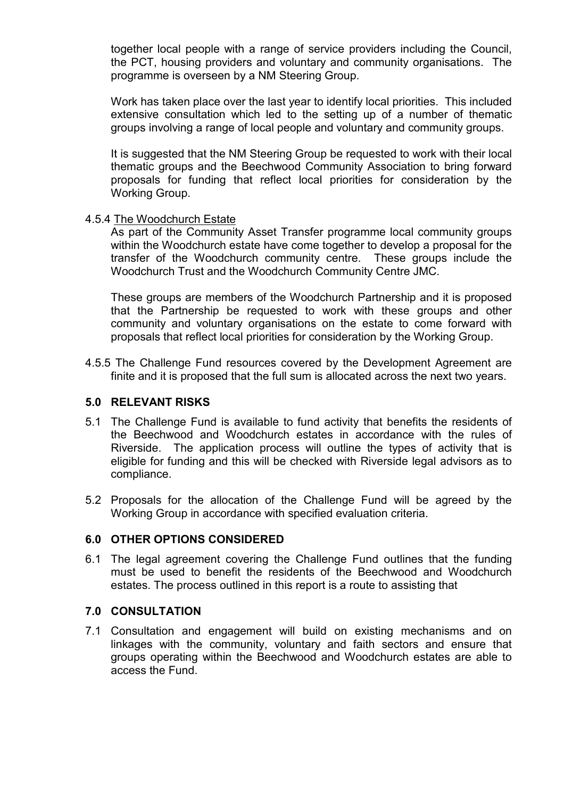together local people with a range of service providers including the Council, the PCT, housing providers and voluntary and community organisations. The programme is overseen by a NM Steering Group.

 Work has taken place over the last year to identify local priorities. This included extensive consultation which led to the setting up of a number of thematic groups involving a range of local people and voluntary and community groups.

 It is suggested that the NM Steering Group be requested to work with their local thematic groups and the Beechwood Community Association to bring forward proposals for funding that reflect local priorities for consideration by the Working Group.

#### 4.5.4 The Woodchurch Estate

 As part of the Community Asset Transfer programme local community groups within the Woodchurch estate have come together to develop a proposal for the transfer of the Woodchurch community centre. These groups include the Woodchurch Trust and the Woodchurch Community Centre JMC.

These groups are members of the Woodchurch Partnership and it is proposed that the Partnership be requested to work with these groups and other community and voluntary organisations on the estate to come forward with proposals that reflect local priorities for consideration by the Working Group.

4.5.5 The Challenge Fund resources covered by the Development Agreement are finite and it is proposed that the full sum is allocated across the next two years.

#### **5.0 RELEVANT RISKS**

- 5.1 The Challenge Fund is available to fund activity that benefits the residents of the Beechwood and Woodchurch estates in accordance with the rules of Riverside. The application process will outline the types of activity that is eligible for funding and this will be checked with Riverside legal advisors as to compliance.
- 5.2 Proposals for the allocation of the Challenge Fund will be agreed by the Working Group in accordance with specified evaluation criteria.

#### **6.0 OTHER OPTIONS CONSIDERED**

6.1 The legal agreement covering the Challenge Fund outlines that the funding must be used to benefit the residents of the Beechwood and Woodchurch estates. The process outlined in this report is a route to assisting that

#### **7.0 CONSULTATION**

7.1 Consultation and engagement will build on existing mechanisms and on linkages with the community, voluntary and faith sectors and ensure that groups operating within the Beechwood and Woodchurch estates are able to access the Fund.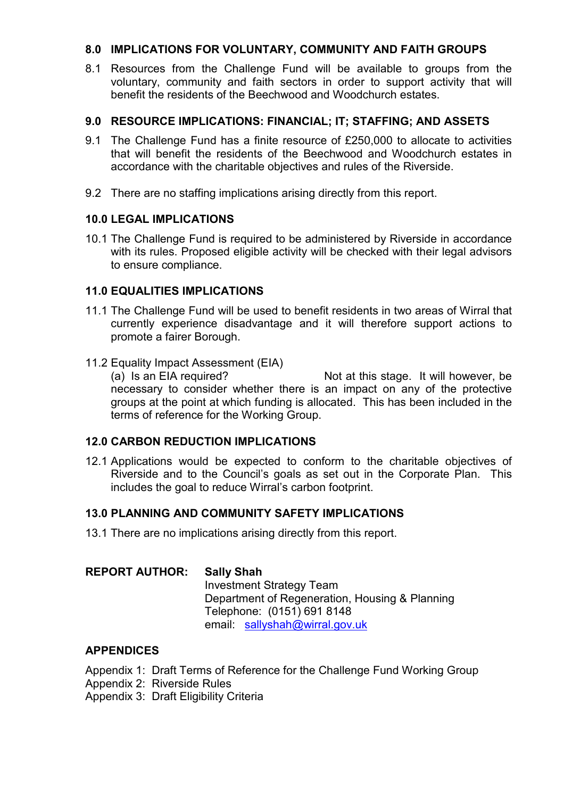#### **8.0 IMPLICATIONS FOR VOLUNTARY, COMMUNITY AND FAITH GROUPS**

8.1 Resources from the Challenge Fund will be available to groups from the voluntary, community and faith sectors in order to support activity that will benefit the residents of the Beechwood and Woodchurch estates.

#### **9.0 RESOURCE IMPLICATIONS: FINANCIAL; IT; STAFFING; AND ASSETS**

- 9.1 The Challenge Fund has a finite resource of £250,000 to allocate to activities that will benefit the residents of the Beechwood and Woodchurch estates in accordance with the charitable objectives and rules of the Riverside.
- 9.2 There are no staffing implications arising directly from this report.

## **10.0 LEGAL IMPLICATIONS**

10.1 The Challenge Fund is required to be administered by Riverside in accordance with its rules. Proposed eligible activity will be checked with their legal advisors to ensure compliance.

## **11.0 EQUALITIES IMPLICATIONS**

- 11.1 The Challenge Fund will be used to benefit residents in two areas of Wirral that currently experience disadvantage and it will therefore support actions to promote a fairer Borough.
- 11.2 Equality Impact Assessment (EIA)

(a) Is an EIA required? Not at this stage. It will however, be necessary to consider whether there is an impact on any of the protective groups at the point at which funding is allocated. This has been included in the terms of reference for the Working Group.

#### **12.0 CARBON REDUCTION IMPLICATIONS**

12.1 Applications would be expected to conform to the charitable objectives of Riverside and to the Council's goals as set out in the Corporate Plan. This includes the goal to reduce Wirral's carbon footprint.

#### **13.0 PLANNING AND COMMUNITY SAFETY IMPLICATIONS**

13.1 There are no implications arising directly from this report.

#### **REPORT AUTHOR: Sally Shah**

Investment Strategy Team Department of Regeneration, Housing & Planning Telephone: (0151) 691 8148 email: sallyshah@wirral.gov.uk

## **APPENDICES**

- Appendix 1: Draft Terms of Reference for the Challenge Fund Working Group
- Appendix 2: Riverside Rules

Appendix 3: Draft Eligibility Criteria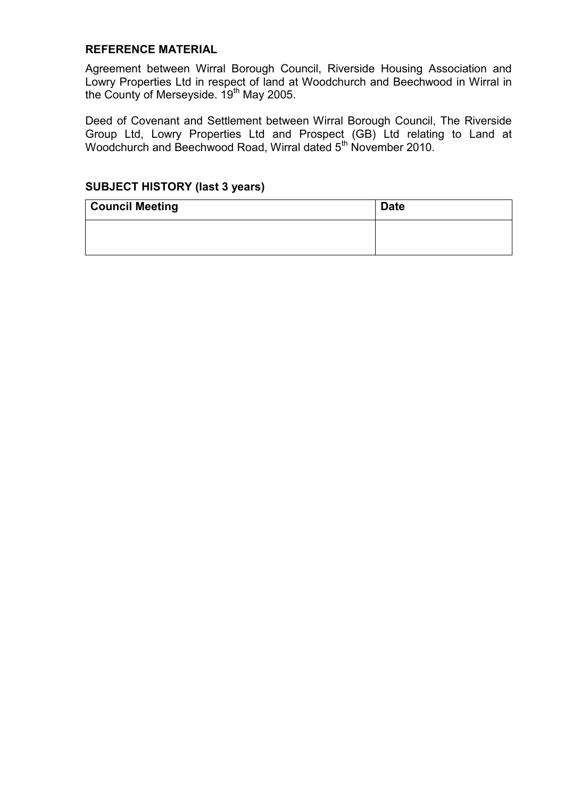#### **REFERENCE MATERIAL**

Agreement between Wirral Borough Council, Riverside Housing Association and Lowry Properties Ltd in respect of land at Woodchurch and Beechwood in Wirral in the County of Merseyside. 19<sup>th</sup> May 2005.

Deed of Covenant and Settlement between Wirral Borough Council, The Riverside Group Ltd, Lowry Properties Ltd and Prospect (GB) Ltd relating to Land at Woodchurch and Beechwood Road, Wirral dated 5<sup>th</sup> November 2010.

## **SUBJECT HISTORY (last 3 years)**

| <b>Council Meeting</b> | <b>Date</b> |
|------------------------|-------------|
|                        |             |
|                        |             |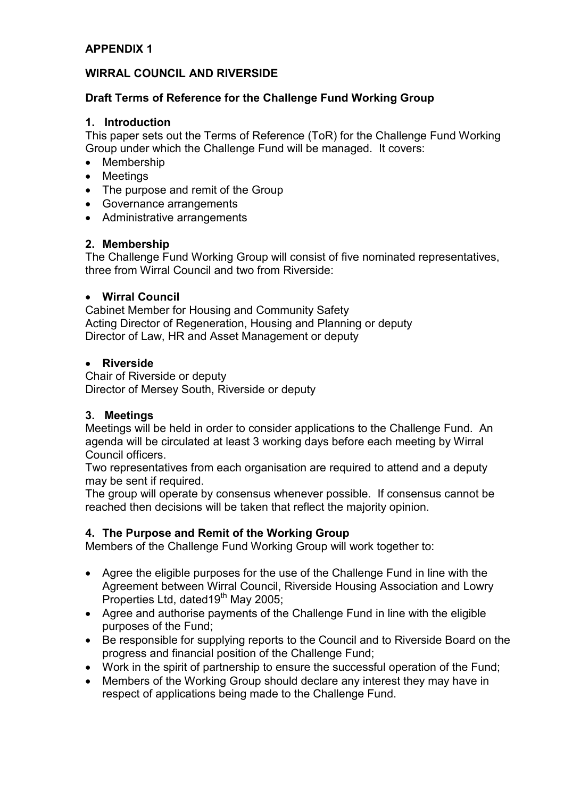## **APPENDIX 1**

## **WIRRAL COUNCIL AND RIVERSIDE**

## **Draft Terms of Reference for the Challenge Fund Working Group**

#### **1. Introduction**

This paper sets out the Terms of Reference (ToR) for the Challenge Fund Working Group under which the Challenge Fund will be managed. It covers:

- Membership
- Meetings
- The purpose and remit of the Group
- Governance arrangements
- Administrative arrangements

#### **2. Membership**

The Challenge Fund Working Group will consist of five nominated representatives, three from Wirral Council and two from Riverside:

#### • **Wirral Council**

Cabinet Member for Housing and Community Safety Acting Director of Regeneration, Housing and Planning or deputy Director of Law, HR and Asset Management or deputy

#### • **Riverside**

Chair of Riverside or deputy Director of Mersey South, Riverside or deputy

#### **3. Meetings**

Meetings will be held in order to consider applications to the Challenge Fund. An agenda will be circulated at least 3 working days before each meeting by Wirral Council officers.

Two representatives from each organisation are required to attend and a deputy may be sent if required.

The group will operate by consensus whenever possible. If consensus cannot be reached then decisions will be taken that reflect the majority opinion.

#### **4. The Purpose and Remit of the Working Group**

Members of the Challenge Fund Working Group will work together to:

- Agree the eligible purposes for the use of the Challenge Fund in line with the Agreement between Wirral Council, Riverside Housing Association and Lowry Properties Ltd, dated  $19^{th}$  May 2005;
- Agree and authorise payments of the Challenge Fund in line with the eligible purposes of the Fund;
- Be responsible for supplying reports to the Council and to Riverside Board on the progress and financial position of the Challenge Fund;
- Work in the spirit of partnership to ensure the successful operation of the Fund;
- Members of the Working Group should declare any interest they may have in respect of applications being made to the Challenge Fund.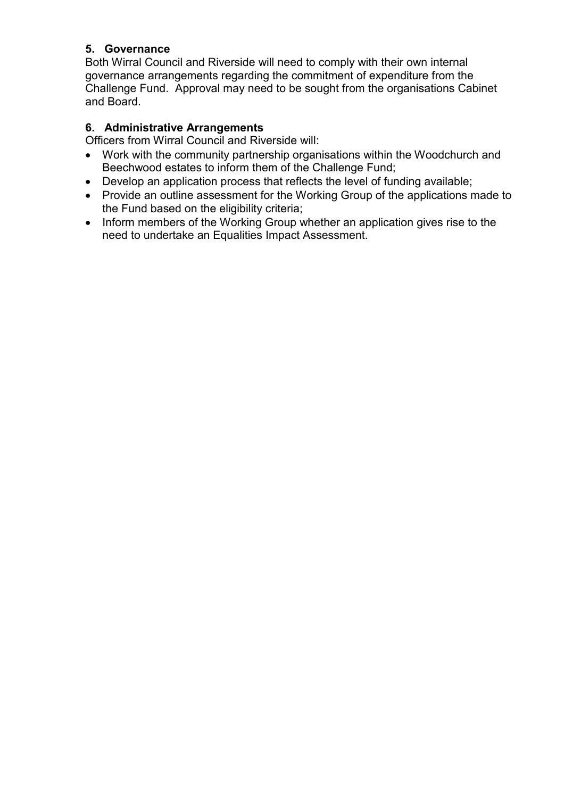## **5. Governance**

Both Wirral Council and Riverside will need to comply with their own internal governance arrangements regarding the commitment of expenditure from the Challenge Fund. Approval may need to be sought from the organisations Cabinet and Board.

## **6. Administrative Arrangements**

Officers from Wirral Council and Riverside will:

- Work with the community partnership organisations within the Woodchurch and Beechwood estates to inform them of the Challenge Fund;
- Develop an application process that reflects the level of funding available;
- Provide an outline assessment for the Working Group of the applications made to the Fund based on the eligibility criteria;
- Inform members of the Working Group whether an application gives rise to the need to undertake an Equalities Impact Assessment.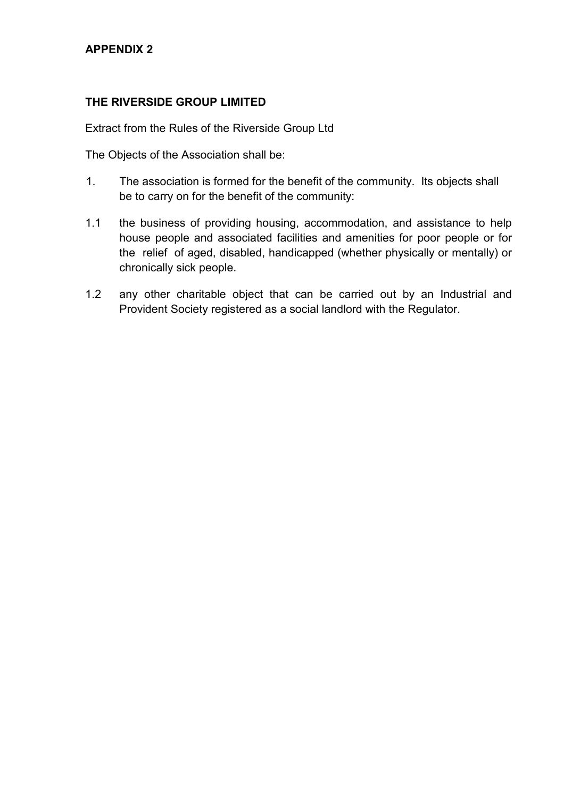## **APPENDIX 2**

## **THE RIVERSIDE GROUP LIMITED**

Extract from the Rules of the Riverside Group Ltd

The Objects of the Association shall be:

- 1. The association is formed for the benefit of the community. Its objects shall be to carry on for the benefit of the community:
- 1.1 the business of providing housing, accommodation, and assistance to help house people and associated facilities and amenities for poor people or for the relief of aged, disabled, handicapped (whether physically or mentally) or chronically sick people.
- 1.2 any other charitable object that can be carried out by an Industrial and Provident Society registered as a social landlord with the Regulator.